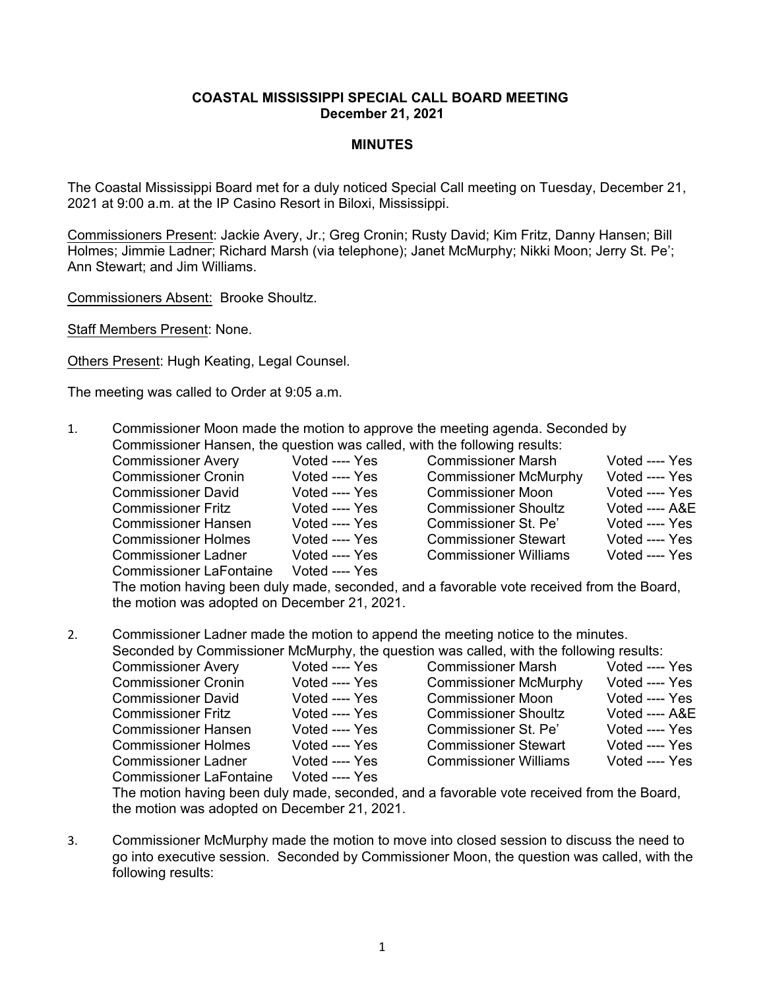## **COASTAL MISSISSIPPI SPECIAL CALL BOARD MEETING December 21, 2021**

## **MINUTES**

The Coastal Mississippi Board met for a duly noticed Special Call meeting on Tuesday, December 21, 2021 at 9:00 a.m. at the IP Casino Resort in Biloxi, Mississippi.

Commissioners Present: Jackie Avery, Jr.; Greg Cronin; Rusty David; Kim Fritz, Danny Hansen; Bill Holmes; Jimmie Ladner; Richard Marsh (via telephone); Janet McMurphy; Nikki Moon; Jerry St. Pe'; Ann Stewart; and Jim Williams.

Commissioners Absent: Brooke Shoultz.

Staff Members Present: None.

Others Present: Hugh Keating, Legal Counsel.

The meeting was called to Order at 9:05 a.m.

- 1. Commissioner Moon made the motion to approve the meeting agenda. Seconded by Commissioner Hansen, the question was called, with the following results:
	-
	- Commissioner LaFontaine Voted ---- Yes
	- Commissioner Avery Voted ---- Yes Commissioner Marsh Voted ---- Yes<br>Commissioner Cronin Voted ---- Yes Commissioner McMurphy Voted ---- Yes Commissioner Cronin Voted ---- Yes Commissioner McMurphy<br>
	Commissioner David Voted ---- Yes Commissioner Moon Commissioner David Voted ---- Yes Commissioner Moon Voted ---- Yes<br>Commissioner Fritz Voted ---- Yes Commissioner Shoultz Voted ---- A&E Commissioner Fritz Voted ---- Yes Commissioner Shoultz Commissioner Hansen Voted Yes Commissioner St. Pe' Voted Yes Commissioner Holmes Voted ---- Yes Commissioner Stewart Voted ---- Yes<br>Commissioner Ladner Voted ---- Yes Commissioner Williams Voted ---- Yes Commissioner Ladner Voted Yes Commissioner Williams Voted Yes

The motion having been duly made, seconded, and a favorable vote received from the Board, the motion was adopted on December 21, 2021.

2. Commissioner Ladner made the motion to append the meeting notice to the minutes. Seconded by Commissioner McMurphy, the question was called, with the following results:

| Seconded by Commissioner McMurphy, the question was called, with the following results. |                                |                |                              |                |
|-----------------------------------------------------------------------------------------|--------------------------------|----------------|------------------------------|----------------|
|                                                                                         | <b>Commissioner Avery</b>      | Voted ---- Yes | <b>Commissioner Marsh</b>    | Voted ---- Yes |
|                                                                                         | <b>Commissioner Cronin</b>     | Voted ---- Yes | <b>Commissioner McMurphy</b> | Voted ---- Yes |
|                                                                                         | <b>Commissioner David</b>      | Voted ---- Yes | <b>Commissioner Moon</b>     | Voted ---- Yes |
|                                                                                         | <b>Commissioner Fritz</b>      | Voted ---- Yes | <b>Commissioner Shoultz</b>  | Voted ---- A&E |
|                                                                                         | <b>Commissioner Hansen</b>     | Voted ---- Yes | Commissioner St. Pe'         | Voted ---- Yes |
|                                                                                         | <b>Commissioner Holmes</b>     | Voted ---- Yes | <b>Commissioner Stewart</b>  | Voted ---- Yes |
|                                                                                         | <b>Commissioner Ladner</b>     | Voted ---- Yes | <b>Commissioner Williams</b> | Voted ---- Yes |
|                                                                                         | <b>Commissioner LaFontaine</b> | Voted ---- Yes |                              |                |

The motion having been duly made, seconded, and a favorable vote received from the Board, the motion was adopted on December 21, 2021.

3. Commissioner McMurphy made the motion to move into closed session to discuss the need to go into executive session. Seconded by Commissioner Moon, the question was called, with the following results: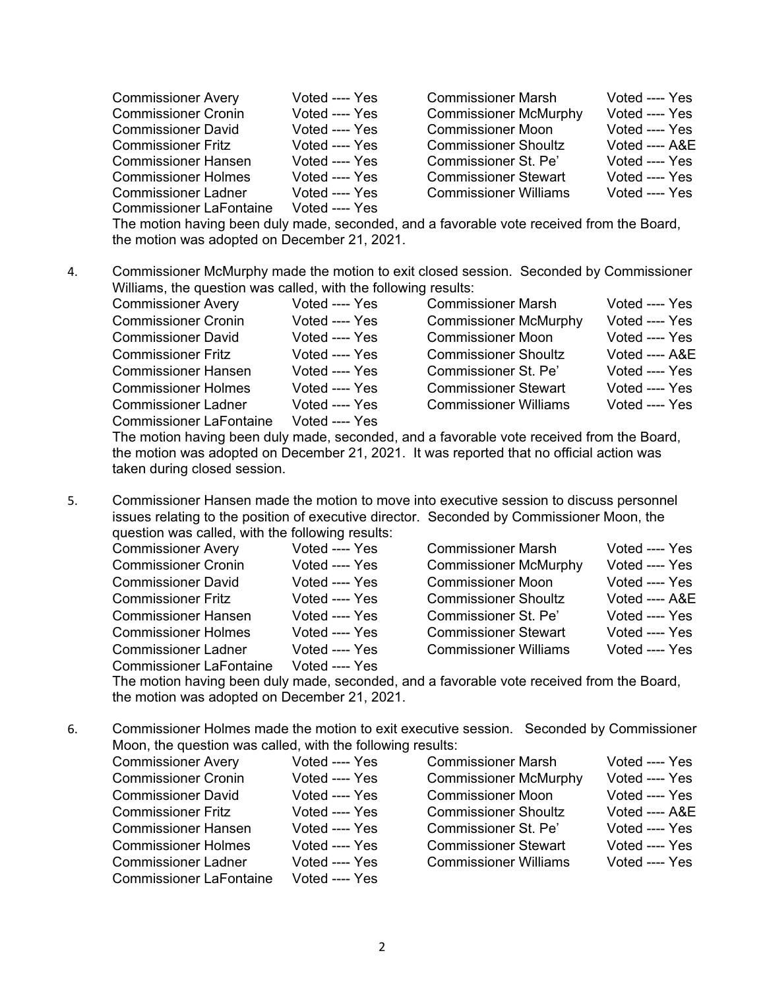| <b>Commissioner Avery</b>      | Voted ---- Yes | <b>Commissioner Marsh</b>    | Voted ---- Yes  |
|--------------------------------|----------------|------------------------------|-----------------|
| <b>Commissioner Cronin</b>     | Voted ---- Yes | <b>Commissioner McMurphy</b> | Voted ---- Yes  |
| <b>Commissioner David</b>      | Voted ---- Yes | <b>Commissioner Moon</b>     | Voted ---- Yes  |
| <b>Commissioner Fritz</b>      | Voted ---- Yes | <b>Commissioner Shoultz</b>  | Voted $---$ A&E |
| <b>Commissioner Hansen</b>     | Voted ---- Yes | Commissioner St. Pe'         | Voted ---- Yes  |
| <b>Commissioner Holmes</b>     | Voted ---- Yes | <b>Commissioner Stewart</b>  | Voted ---- Yes  |
| <b>Commissioner Ladner</b>     | Voted ---- Yes | <b>Commissioner Williams</b> | Voted ---- Yes  |
| <b>Commissioner LaFontaine</b> | Voted ---- Yes |                              |                 |

The motion having been duly made, seconded, and a favorable vote received from the Board, the motion was adopted on December 21, 2021.

4. Commissioner McMurphy made the motion to exit closed session. Seconded by Commissioner Williams, the question was called, with the following results:

| <b>Commissioner Avery</b>      | Voted ---- Yes | <b>Commissioner Marsh</b>    | Voted ---- Yes |
|--------------------------------|----------------|------------------------------|----------------|
| <b>Commissioner Cronin</b>     | Voted ---- Yes | <b>Commissioner McMurphy</b> | Voted ---- Yes |
| <b>Commissioner David</b>      | Voted ---- Yes | <b>Commissioner Moon</b>     | Voted ---- Yes |
| <b>Commissioner Fritz</b>      | Voted ---- Yes | <b>Commissioner Shoultz</b>  | Voted ---- A&E |
| <b>Commissioner Hansen</b>     | Voted ---- Yes | Commissioner St. Pe'         | Voted ---- Yes |
| <b>Commissioner Holmes</b>     | Voted ---- Yes | <b>Commissioner Stewart</b>  | Voted ---- Yes |
| <b>Commissioner Ladner</b>     | Voted ---- Yes | <b>Commissioner Williams</b> | Voted ---- Yes |
| <b>Commissioner LaFontaine</b> | Voted ---- Yes |                              |                |

The motion having been duly made, seconded, and a favorable vote received from the Board, the motion was adopted on December 21, 2021. It was reported that no official action was taken during closed session.

5. Commissioner Hansen made the motion to move into executive session to discuss personnel issues relating to the position of executive director. Seconded by Commissioner Moon, the question was called, with the following results:

| <b>Commissioner Avery</b>      | Voted ---- Yes | <b>Commissioner Marsh</b>    | Voted ---- Yes |
|--------------------------------|----------------|------------------------------|----------------|
| <b>Commissioner Cronin</b>     | Voted ---- Yes | <b>Commissioner McMurphy</b> | Voted ---- Yes |
| <b>Commissioner David</b>      | Voted ---- Yes | <b>Commissioner Moon</b>     | Voted ---- Yes |
| <b>Commissioner Fritz</b>      | Voted ---- Yes | <b>Commissioner Shoultz</b>  | Voted ---- A&E |
| <b>Commissioner Hansen</b>     | Voted ---- Yes | Commissioner St. Pe'         | Voted ---- Yes |
| <b>Commissioner Holmes</b>     | Voted ---- Yes | <b>Commissioner Stewart</b>  | Voted ---- Yes |
| <b>Commissioner Ladner</b>     | Voted ---- Yes | <b>Commissioner Williams</b> | Voted ---- Yes |
| <b>Commissioner LaFontaine</b> | Voted ---- Yes |                              |                |
|                                |                |                              |                |

The motion having been duly made, seconded, and a favorable vote received from the Board, the motion was adopted on December 21, 2021.

6. Commissioner Holmes made the motion to exit executive session. Seconded by Commissioner Moon, the question was called, with the following results:

| <b>Commissioner Avery</b>      | Voted ---- Yes | <b>Commissioner Marsh</b>    | Voted ---- Yes |
|--------------------------------|----------------|------------------------------|----------------|
| <b>Commissioner Cronin</b>     | Voted ---- Yes | <b>Commissioner McMurphy</b> | Voted ---- Yes |
| <b>Commissioner David</b>      | Voted ---- Yes | <b>Commissioner Moon</b>     | Voted ---- Yes |
| <b>Commissioner Fritz</b>      | Voted ---- Yes | <b>Commissioner Shoultz</b>  | Voted ---- A&E |
| <b>Commissioner Hansen</b>     | Voted ---- Yes | Commissioner St. Pe'         | Voted ---- Yes |
| <b>Commissioner Holmes</b>     | Voted ---- Yes | <b>Commissioner Stewart</b>  | Voted ---- Yes |
| <b>Commissioner Ladner</b>     | Voted ---- Yes | <b>Commissioner Williams</b> | Voted ---- Yes |
| <b>Commissioner LaFontaine</b> | Voted ---- Yes |                              |                |
|                                |                |                              |                |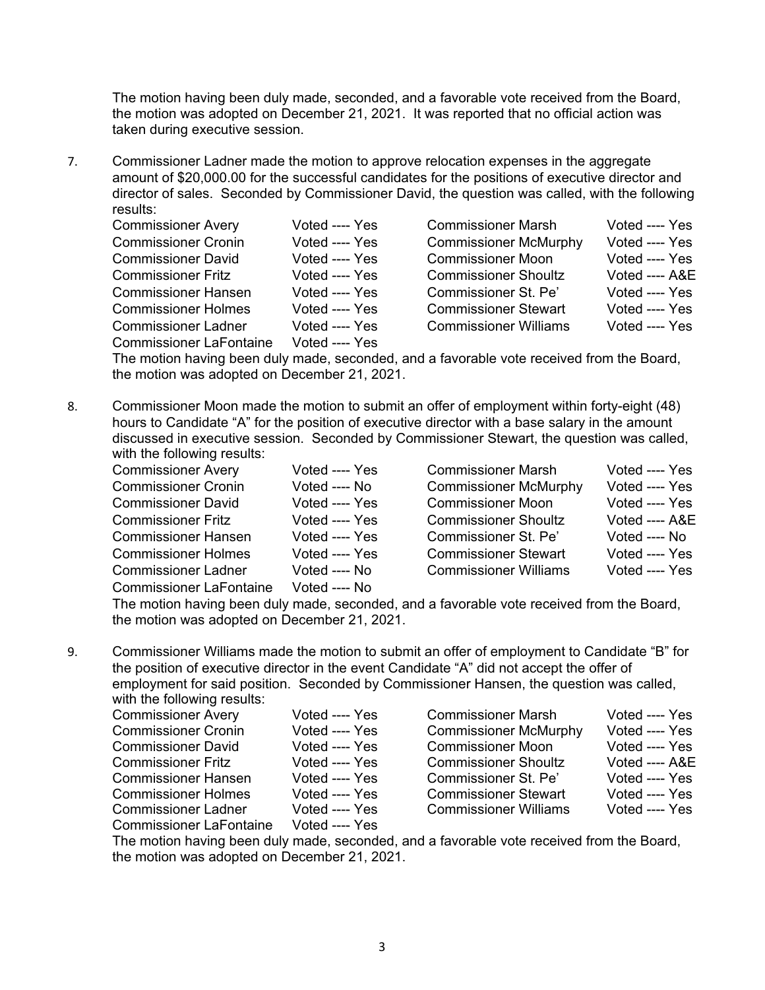The motion having been duly made, seconded, and a favorable vote received from the Board, the motion was adopted on December 21, 2021. It was reported that no official action was taken during executive session.

7. Commissioner Ladner made the motion to approve relocation expenses in the aggregate amount of \$20,000.00 for the successful candidates for the positions of executive director and director of sales. Seconded by Commissioner David, the question was called, with the following results:

| <b>Commissioner Avery</b>      | Voted ---- Yes | <b>Commissioner Marsh</b>                                                                                                    | Voted ---- Yes |
|--------------------------------|----------------|------------------------------------------------------------------------------------------------------------------------------|----------------|
| <b>Commissioner Cronin</b>     | Voted ---- Yes | <b>Commissioner McMurphy</b>                                                                                                 | Voted ---- Yes |
| <b>Commissioner David</b>      | Voted ---- Yes | <b>Commissioner Moon</b>                                                                                                     | Voted ---- Yes |
| <b>Commissioner Fritz</b>      | Voted ---- Yes | <b>Commissioner Shoultz</b>                                                                                                  | Voted ---- A&E |
| <b>Commissioner Hansen</b>     | Voted ---- Yes | Commissioner St. Pe'                                                                                                         | Voted ---- Yes |
| <b>Commissioner Holmes</b>     | Voted ---- Yes | <b>Commissioner Stewart</b>                                                                                                  | Voted ---- Yes |
| <b>Commissioner Ladner</b>     | Voted ---- Yes | <b>Commissioner Williams</b>                                                                                                 | Voted ---- Yes |
| <b>Commissioner LaFontaine</b> | Voted ---- Yes |                                                                                                                              |                |
|                                |                | The coordinate and a heart distributed a research of the distribution of a second coordinate distribution $\blacksquare$ and |                |

The motion having been duly made, seconded, and a favorable vote received from the Board, the motion was adopted on December 21, 2021.

8. Commissioner Moon made the motion to submit an offer of employment within forty-eight (48) hours to Candidate "A" for the position of executive director with a base salary in the amount discussed in executive session. Seconded by Commissioner Stewart, the question was called, with the following results:

| <b>Commissioner Avery</b>      | Voted ---- Yes | <b>Commissioner Marsh</b>    | Voted ---- Yes |
|--------------------------------|----------------|------------------------------|----------------|
| <b>Commissioner Cronin</b>     | Voted ---- No  | <b>Commissioner McMurphy</b> | Voted ---- Yes |
| <b>Commissioner David</b>      | Voted ---- Yes | <b>Commissioner Moon</b>     | Voted ---- Yes |
| <b>Commissioner Fritz</b>      | Voted ---- Yes | <b>Commissioner Shoultz</b>  | Voted ---- A&E |
| <b>Commissioner Hansen</b>     | Voted ---- Yes | Commissioner St. Pe'         | Voted ---- No  |
| <b>Commissioner Holmes</b>     | Voted ---- Yes | <b>Commissioner Stewart</b>  | Voted ---- Yes |
| <b>Commissioner Ladner</b>     | Voted ---- No  | <b>Commissioner Williams</b> | Voted ---- Yes |
| <b>Commissioner LaFontaine</b> | Voted ---- No  |                              |                |

The motion having been duly made, seconded, and a favorable vote received from the Board, the motion was adopted on December 21, 2021.

9. Commissioner Williams made the motion to submit an offer of employment to Candidate "B" for the position of executive director in the event Candidate "A" did not accept the offer of employment for said position. Seconded by Commissioner Hansen, the question was called,

with the following results:

| <b>Commissioner Avery</b>  | Voted ---- Yes | <b>Commissioner Marsh</b>    | Voted ---- Yes |
|----------------------------|----------------|------------------------------|----------------|
| <b>Commissioner Cronin</b> | Voted ---- Yes | <b>Commissioner McMurphy</b> | Voted ---- Yes |
| <b>Commissioner David</b>  | Voted ---- Yes | <b>Commissioner Moon</b>     | Voted ---- Yes |
| <b>Commissioner Fritz</b>  | Voted ---- Yes | <b>Commissioner Shoultz</b>  | Voted ---- A&E |
| <b>Commissioner Hansen</b> | Voted ---- Yes | Commissioner St. Pe'         | Voted ---- Yes |
| <b>Commissioner Holmes</b> | Voted ---- Yes | <b>Commissioner Stewart</b>  | Voted ---- Yes |
|                            | .              |                              |                |

Commissioner LaFontaine

Voted ---- Yes Commissioner McMurphy Voted ---- Yes Commissioner McMurphy Voted ---- Yes Commissioner Moon Voted ---- Yes Voted ---- Yes Commissioner Shoultz Voted ---- A&E<br>Voted ---- Yes Commissioner St. Pe' Voted ---- Yes Commissioner St. Pe' Voted ---- Yes Commissioner Stewart Voted ---- Yes Commissioner Ladner and Voted ---- Yes Commissioner Williams Voted ---- Yes<br>Commissioner LaFontaine Voted ---- Yes

The motion having been duly made, seconded, and a favorable vote received from the Board, the motion was adopted on December 21, 2021.